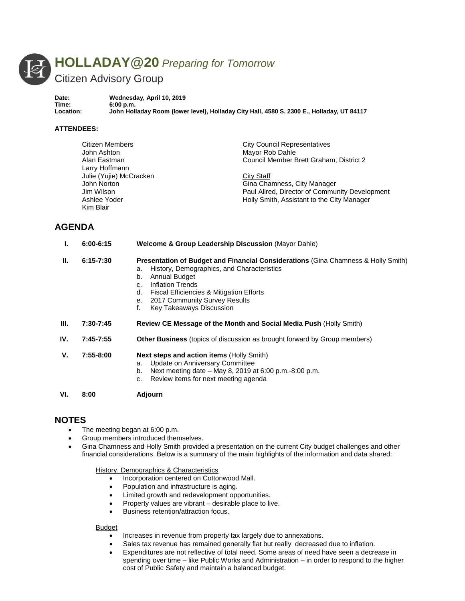

**Date: Wednesday, April 10, 2019 Time: 6:00 p.m. Location: John Holladay Room (lower level), Holladay City Hall, 4580 S. 2300 E., Holladay, UT 84117**

### **ATTENDEES:**

| Citizen Members                                         | <b>City Council Representatives</b>            |
|---------------------------------------------------------|------------------------------------------------|
| John Ashton                                             | Mayor Rob Dahle                                |
| Council Member Brett Graham, District 2<br>Alan Eastman |                                                |
| Larry Hoffmann                                          |                                                |
| Julie (Yujie) McCracken                                 | City Staff                                     |
| John Norton                                             | Gina Chamness, City Manager                    |
| Jim Wilson                                              | Paul Allred, Director of Community Development |
| Ashlee Yoder                                            | Holly Smith, Assistant to the City Manager     |
| Kim Blair                                               |                                                |

# **AGENDA**

| ı.   | $6:00 - 6:15$ | <b>Welcome &amp; Group Leadership Discussion (Mayor Dahle)</b>                                                                                                                                                                                                                                                                      |
|------|---------------|-------------------------------------------------------------------------------------------------------------------------------------------------------------------------------------------------------------------------------------------------------------------------------------------------------------------------------------|
| Ш.   | $6:15 - 7:30$ | <b>Presentation of Budget and Financial Considerations (Gina Chamness &amp; Holly Smith)</b><br>History, Demographics, and Characteristics<br>a.<br>Annual Budget<br>b.<br><b>Inflation Trends</b><br>C.<br>Fiscal Efficiencies & Mitigation Efforts<br>d.<br>2017 Community Survey Results<br>е.<br>f.<br>Key Takeaways Discussion |
| III. | 7:30-7:45     | Review CE Message of the Month and Social Media Push (Holly Smith)                                                                                                                                                                                                                                                                  |
| IV.  | $7:45 - 7:55$ | <b>Other Business</b> (topics of discussion as brought forward by Group members)                                                                                                                                                                                                                                                    |
| V.   | $7:55-8:00$   | <b>Next steps and action items (Holly Smith)</b><br>Update on Anniversary Committee<br>a.<br>Next meeting date – May 8, 2019 at 6:00 p.m. -8:00 p.m.<br>b.<br>Review items for next meeting agenda<br>c.                                                                                                                            |
| VI.  | 8:00          | Adjourn                                                                                                                                                                                                                                                                                                                             |

# **NOTES**

- The meeting began at 6:00 p.m.
- Group members introduced themselves.
- Gina Chamness and Holly Smith provided a presentation on the current City budget challenges and other financial considerations. Below is a summary of the main highlights of the information and data shared:

#### History, Demographics & Characteristics

- Incorporation centered on Cottonwood Mall.
- Population and infrastructure is aging.
- Limited growth and redevelopment opportunities.
- Property values are vibrant desirable place to live.
- Business retention/attraction focus.

## Budget

- Increases in revenue from property tax largely due to annexations.
- Sales tax revenue has remained generally flat but really decreased due to inflation.
- Expenditures are not reflective of total need. Some areas of need have seen a decrease in spending over time – like Public Works and Administration – in order to respond to the higher cost of Public Safety and maintain a balanced budget.